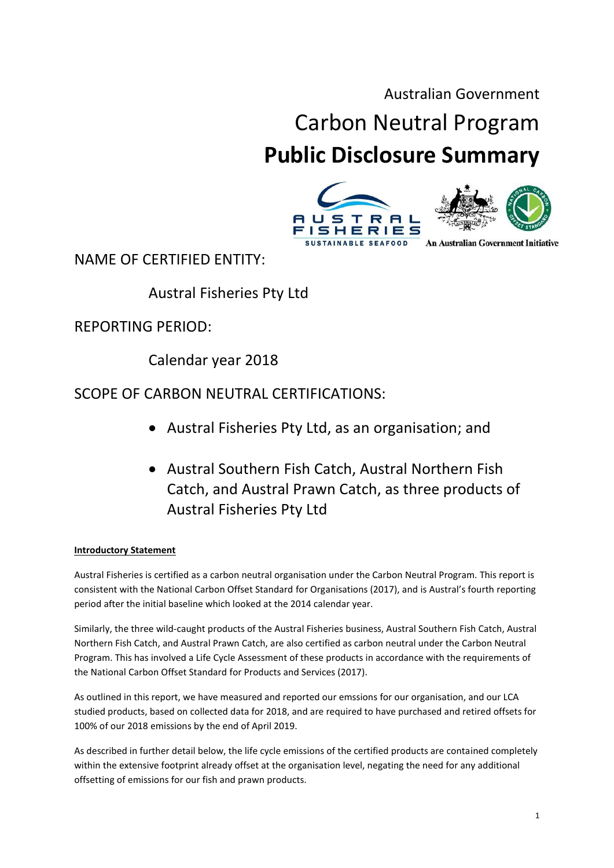### Australian Government

# Carbon Neutral Program **Public Disclosure Summary**

# **FISHERIES An Australian Government Initiative SUSTAINABLE SEAFOOD**

NAME OF CERTIFIED ENTITY:

# Austral Fisheries Pty Ltd

REPORTING PERIOD:

Calendar year 2018

## SCOPE OF CARBON NEUTRAL CERTIFICATIONS:

- Austral Fisheries Pty Ltd, as an organisation; and
- Austral Southern Fish Catch, Austral Northern Fish Catch, and Austral Prawn Catch, as three products of Austral Fisheries Pty Ltd

#### **Introductory Statement**

Austral Fisheries is certified as a carbon neutral organisation under the Carbon Neutral Program. This report is consistent with the National Carbon Offset Standard for Organisations (2017), and is Austral's fourth reporting period after the initial baseline which looked at the 2014 calendar year.

Similarly, the three wild-caught products of the Austral Fisheries business, Austral Southern Fish Catch, Austral Northern Fish Catch, and Austral Prawn Catch, are also certified as carbon neutral under the Carbon Neutral Program. This has involved a Life Cycle Assessment of these products in accordance with the requirements of the National Carbon Offset Standard for Products and Services (2017).

As outlined in this report, we have measured and reported our emssions for our organisation, and our LCA studied products, based on collected data for 2018, and are required to have purchased and retired offsets for 100% of our 2018 emissions by the end of April 2019.

As described in further detail below, the life cycle emissions of the certified products are contained completely within the extensive footprint already offset at the organisation level, negating the need for any additional offsetting of emissions for our fish and prawn products.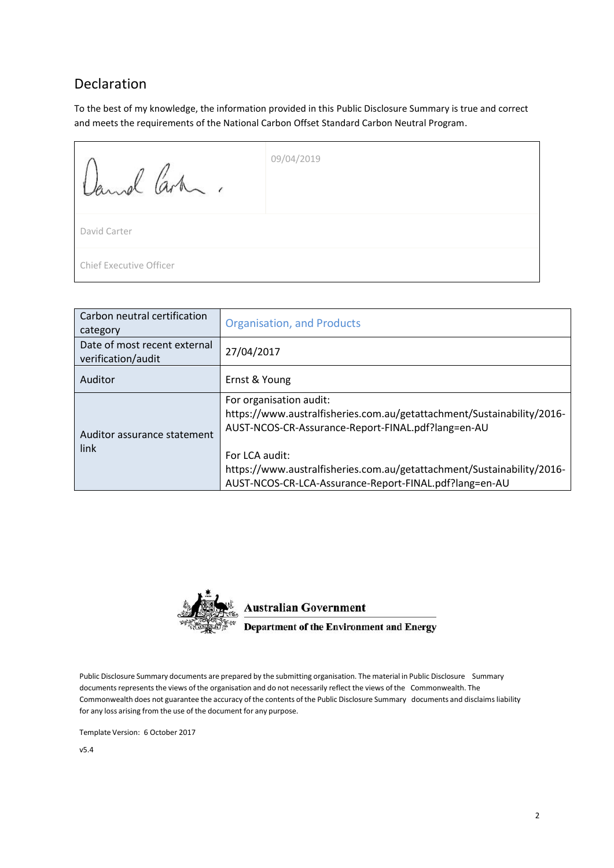#### <span id="page-1-0"></span>Declaration

To the best of my knowledge, the information provided in this Public Disclosure Summary is true and correct and meets the requirements of the National Carbon Offset Standard Carbon Neutral Program.

| Jamel Carten.                  | 09/04/2019 |
|--------------------------------|------------|
| David Carter                   |            |
| <b>Chief Executive Officer</b> |            |

| Carbon neutral certification<br>category           | <b>Organisation, and Products</b>                                                                                                                                                                                                                   |
|----------------------------------------------------|-----------------------------------------------------------------------------------------------------------------------------------------------------------------------------------------------------------------------------------------------------|
| Date of most recent external<br>verification/audit | 27/04/2017                                                                                                                                                                                                                                          |
| Auditor                                            | Ernst & Young                                                                                                                                                                                                                                       |
| Auditor assurance statement<br>link                | For organisation audit:<br>https://www.australfisheries.com.au/getattachment/Sustainability/2016-<br>AUST-NCOS-CR-Assurance-Report-FINAL.pdf?lang=en-AU<br>For LCA audit:<br>https://www.australfisheries.com.au/getattachment/Sustainability/2016- |
|                                                    | AUST-NCOS-CR-LCA-Assurance-Report-FINAL.pdf?lang=en-AU                                                                                                                                                                                              |



**Australian Government** 

**Department of the Environment and Energy** 

Public Disclosure Summary documents are prepared by the submitting organisation. The material in Public Disclosure Summary documents represents the views of the organisation and do not necessarily reflect the views of the Commonwealth. The Commonwealth does not guarantee the accuracy of the contents of the Public Disclosure Summary documents and disclaims liability for any loss arising from the use of the document for any purpose.

Template Version: 6 October 2017

v5.4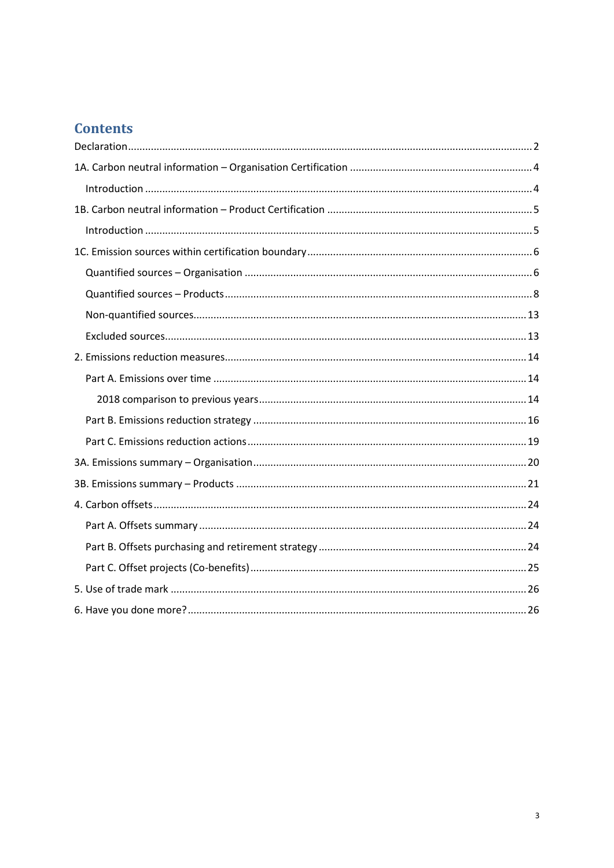### **Contents**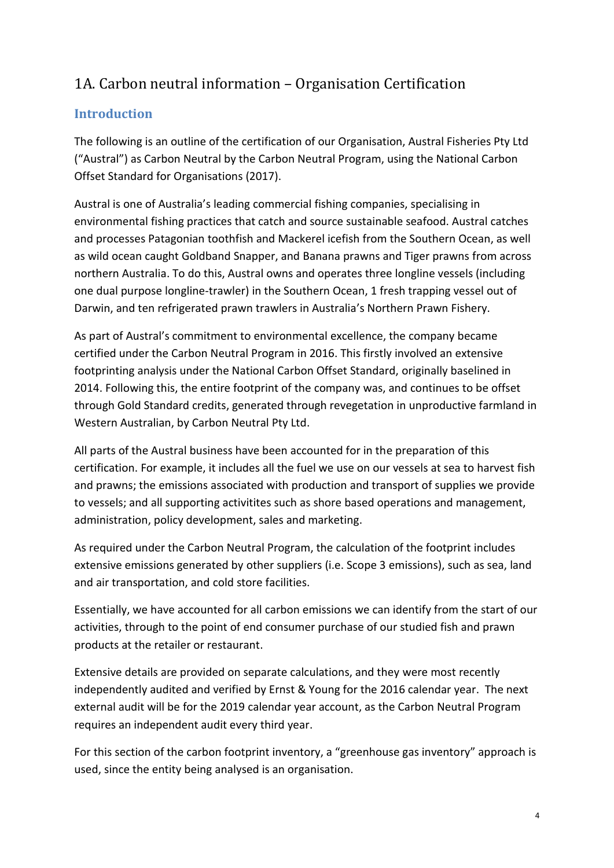# <span id="page-3-0"></span>1A. Carbon neutral information – Organisation Certification

#### <span id="page-3-1"></span>**Introduction**

The following is an outline of the certification of our Organisation, Austral Fisheries Pty Ltd ("Austral") as Carbon Neutral by the Carbon Neutral Program, using the National Carbon Offset Standard for Organisations (2017).

Austral is one of Australia's leading commercial fishing companies, specialising in environmental fishing practices that catch and source sustainable seafood. Austral catches and processe[s Patagonian toothfish](http://www.msc.org/track-a-fishery/fisheries-in-the-program/certified/southern-ocean/heard_island_and_mcdonald_islands_himi_toothfish) and [Mackerel](http://www.msc.org/track-a-fishery/fisheries-in-the-program/certified/southern-ocean/australia-mackerel-icefish/australia-mackerel-icefish/?searchterm=icefish) icefish from the Southern Ocean, as well as wild ocean caught Goldband Snapper, and [Banana prawns and Tiger prawns](http://www.msc.org/track-a-fishery/fisheries-in-the-program/certified/pacific/australia_northern_prawn/australia_northern_prawn/?searchterm=northern%20prawn) from across northern Australia. To do this, Austral owns and operates three longline vessels (including one dual purpose longline-trawler) in the Southern Ocean, 1 fresh trapping vessel out of Darwin, and ten refrigerated prawn trawlers in Australia's Northern Prawn Fishery.

As part of Austral's commitment to environmental excellence, the company became certified under the Carbon Neutral Program in 2016. This firstly involved an extensive footprinting analysis under the National Carbon Offset Standard, originally baselined in 2014. Following this, the entire footprint of the company was, and continues to be offset through Gold Standard credits, generated through revegetation in unproductive farmland in Western Australian, by Carbon Neutral Pty Ltd.

All parts of the Austral business have been accounted for in the preparation of this certification. For example, it includes all the fuel we use on our vessels at sea to harvest fish and prawns; the emissions associated with production and transport of supplies we provide to vessels; and all supporting activitites such as shore based operations and management, administration, policy development, sales and marketing.

As required under the Carbon Neutral Program, the calculation of the footprint includes extensive emissions generated by other suppliers (i.e. Scope 3 emissions), such as sea, land and air transportation, and cold store facilities.

Essentially, we have accounted for all carbon emissions we can identify from the start of our activities, through to the point of end consumer purchase of our studied fish and prawn products at the retailer or restaurant.

Extensive details are provided on separate calculations, and they were most recently independently audited and verified by Ernst & Young for the 2016 calendar year. The next external audit will be for the 2019 calendar year account, as the Carbon Neutral Program requires an independent audit every third year.

For this section of the carbon footprint inventory, a "greenhouse gas inventory" approach is used, since the entity being analysed is an organisation.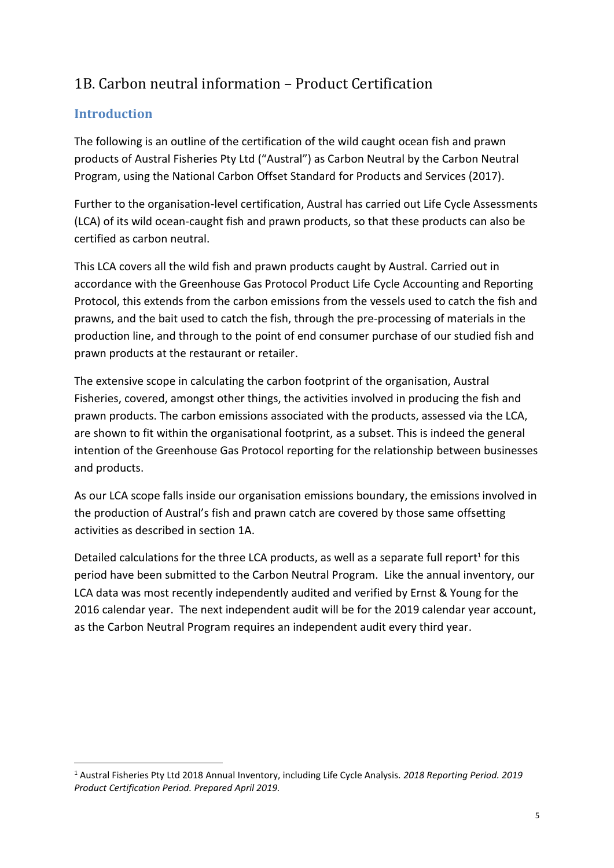# <span id="page-4-0"></span>1B. Carbon neutral information – Product Certification

### <span id="page-4-1"></span>**Introduction**

The following is an outline of the certification of the wild caught ocean fish and prawn products of Austral Fisheries Pty Ltd ("Austral") as Carbon Neutral by the Carbon Neutral Program, using the National Carbon Offset Standard for Products and Services (2017).

Further to the organisation-level certification, Austral has carried out Life Cycle Assessments (LCA) of its wild ocean-caught fish and prawn products, so that these products can also be certified as carbon neutral.

This LCA covers all the wild fish and prawn products caught by Austral. Carried out in accordance with the Greenhouse Gas Protocol Product Life Cycle Accounting and Reporting Protocol, this extends from the carbon emissions from the vessels used to catch the fish and prawns, and the bait used to catch the fish, through the pre-processing of materials in the production line, and through to the point of end consumer purchase of our studied fish and prawn products at the restaurant or retailer.

The extensive scope in calculating the carbon footprint of the organisation, Austral Fisheries, covered, amongst other things, the activities involved in producing the fish and prawn products. The carbon emissions associated with the products, assessed via the LCA, are shown to fit within the organisational footprint, as a subset. This is indeed the general intention of the Greenhouse Gas Protocol reporting for the relationship between businesses and products.

As our LCA scope falls inside our organisation emissions boundary, the emissions involved in the production of Austral's fish and prawn catch are covered by those same offsetting activities as described in section 1A.

Detailed calculations for the three LCA products, as well as a separate full report<sup>1</sup> for this period have been submitted to the Carbon Neutral Program. Like the annual inventory, our LCA data was most recently independently audited and verified by Ernst & Young for the 2016 calendar year. The next independent audit will be for the 2019 calendar year account, as the Carbon Neutral Program requires an independent audit every third year.

<sup>1</sup> <sup>1</sup> Austral Fisheries Pty Ltd 2018 Annual Inventory, including Life Cycle Analysis. *2018 Reporting Period. 2019 Product Certification Period. Prepared April 2019.*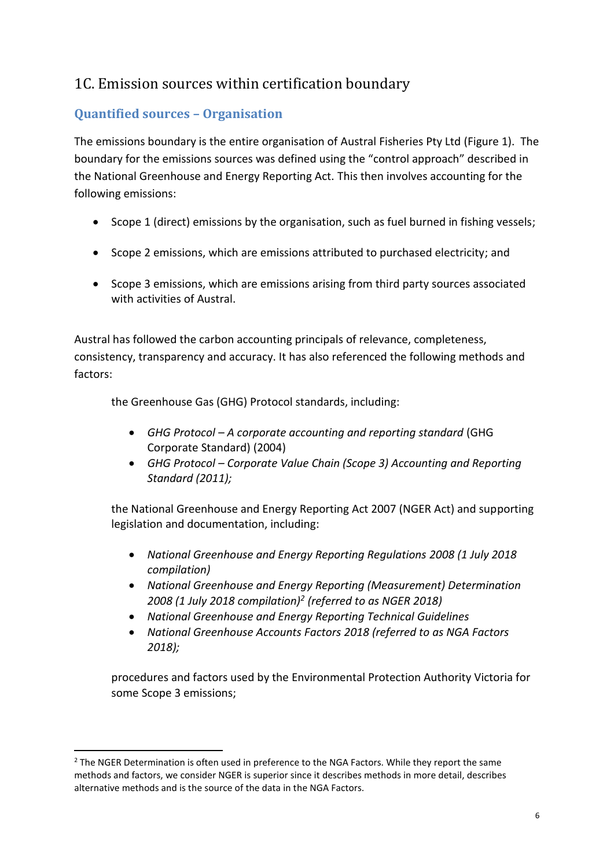# <span id="page-5-0"></span>1C. Emission sources within certification boundary

### <span id="page-5-1"></span>**Quantified sources – Organisation**

The emissions boundary is the entire organisation of Austral Fisheries Pty Ltd (Figure 1). The boundary for the emissions sources was defined using the "control approach" described in the National Greenhouse and Energy Reporting Act. This then involves accounting for the following emissions:

- Scope 1 (direct) emissions by the organisation, such as fuel burned in fishing vessels;
- Scope 2 emissions, which are emissions attributed to purchased electricity; and
- Scope 3 emissions, which are emissions arising from third party sources associated with activities of Austral.

Austral has followed the carbon accounting principals of relevance, completeness, consistency, transparency and accuracy. It has also referenced the following methods and factors:

the Greenhouse Gas (GHG) Protocol standards, including:

- *GHG Protocol – A corporate accounting and reporting standard* (GHG Corporate Standard) (2004)
- *GHG Protocol – Corporate Value Chain (Scope 3) Accounting and Reporting Standard (2011);*

the National Greenhouse and Energy Reporting Act 2007 (NGER Act) and supporting legislation and documentation, including:

- *National Greenhouse and Energy Reporting Regulations 2008 (1 July 2018 compilation)*
- *National Greenhouse and Energy Reporting (Measurement) Determination 2008 (1 July 2018 compilation)<sup>2</sup> (referred to as NGER 2018)*
- *National Greenhouse and Energy Reporting Technical Guidelines*
- *National Greenhouse Accounts Factors 2018 (referred to as NGA Factors 2018);*

procedures and factors used by the Environmental Protection Authority Victoria for some Scope 3 emissions;

**.** 

<sup>&</sup>lt;sup>2</sup> The NGER Determination is often used in preference to the NGA Factors. While they report the same methods and factors, we consider NGER is superior since it describes methods in more detail, describes alternative methods and is the source of the data in the NGA Factors.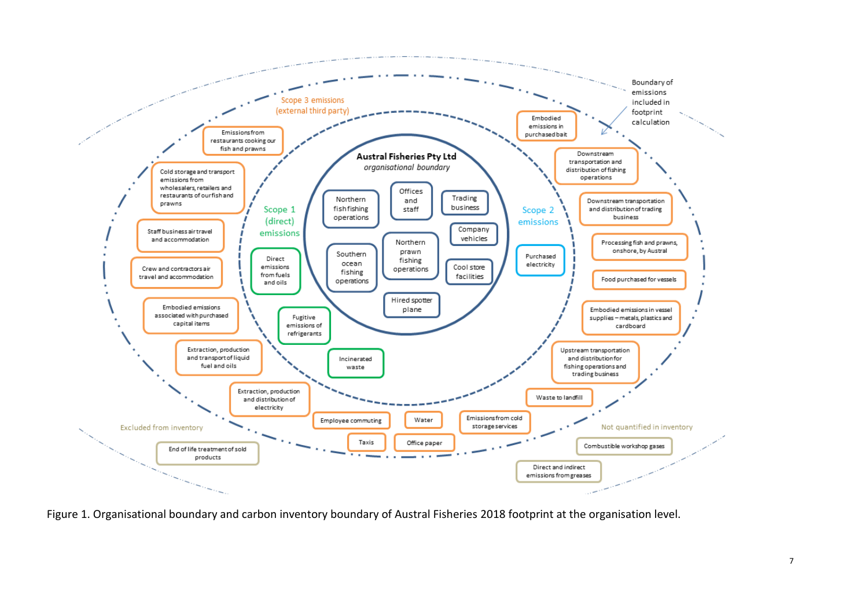

Figure 1. Organisational boundary and carbon inventory boundary of Austral Fisheries 2018 footprint at the organisation level.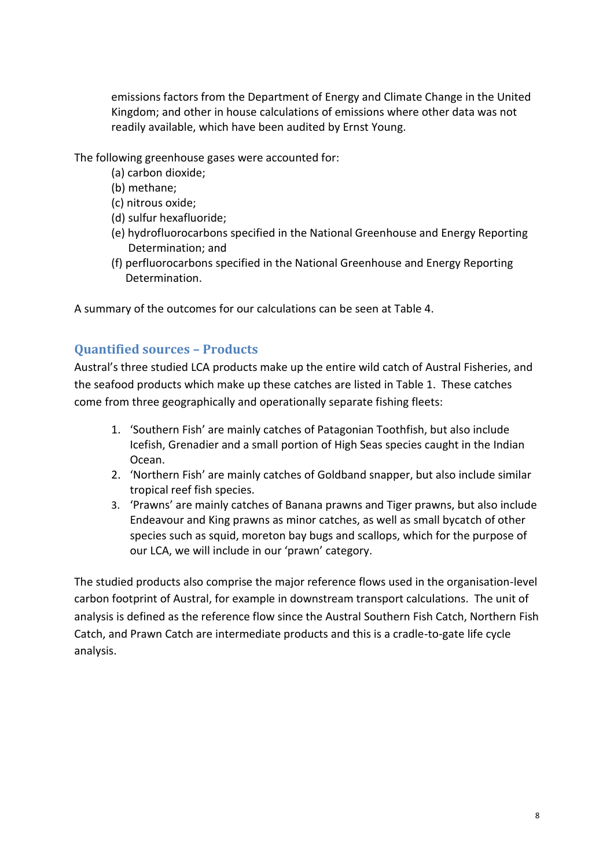emissions factors from the Department of Energy and Climate Change in the United Kingdom; and other in house calculations of emissions where other data was not readily available, which have been audited by Ernst Young.

The following greenhouse gases were accounted for:

- (a) carbon dioxide;
- (b) methane;
- (c) nitrous oxide;
- (d) sulfur hexafluoride;
- (e) hydrofluorocarbons specified in the National Greenhouse and Energy Reporting Determination; and
- (f) perfluorocarbons specified in the National Greenhouse and Energy Reporting Determination.

A summary of the outcomes for our calculations can be seen at Table 4.

#### <span id="page-7-0"></span>**Quantified sources – Products**

Austral's three studied LCA products make up the entire wild catch of Austral Fisheries, and the seafood products which make up these catches are listed in Table 1. These catches come from three geographically and operationally separate fishing fleets:

- 1. 'Southern Fish' are mainly catches of Patagonian Toothfish, but also include Icefish, Grenadier and a small portion of High Seas species caught in the Indian Ocean.
- 2. 'Northern Fish' are mainly catches of Goldband snapper, but also include similar tropical reef fish species.
- 3. 'Prawns' are mainly catches of Banana prawns and Tiger prawns, but also include Endeavour and King prawns as minor catches, as well as small bycatch of other species such as squid, moreton bay bugs and scallops, which for the purpose of our LCA, we will include in our 'prawn' category.

The studied products also comprise the major reference flows used in the organisation-level carbon footprint of Austral, for example in downstream transport calculations. The unit of analysis is defined as the reference flow since the Austral Southern Fish Catch, Northern Fish Catch, and Prawn Catch are intermediate products and this is a cradle-to-gate life cycle analysis.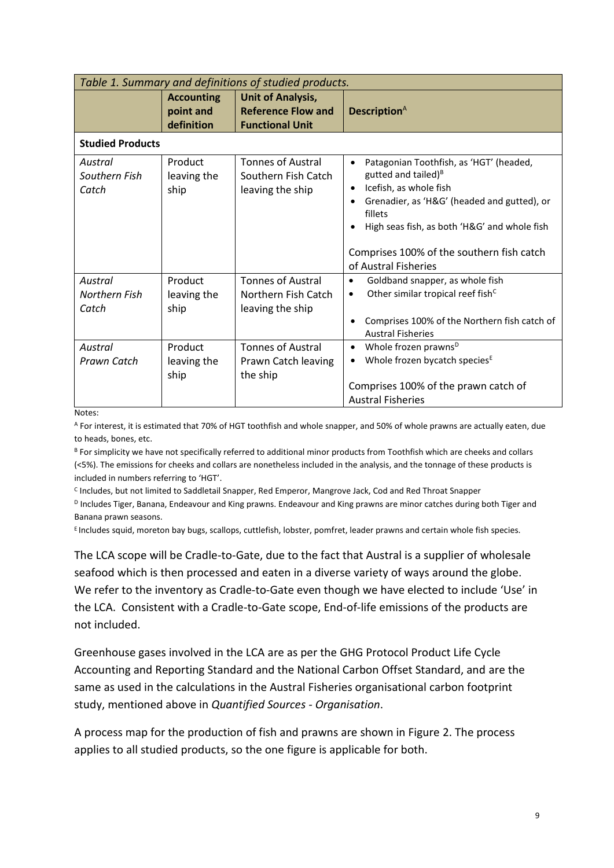| Table 1. Summary and definitions of studied products. |                                              |                                                                                 |                                                                                                                                                                                                                                                                                                                            |  |  |
|-------------------------------------------------------|----------------------------------------------|---------------------------------------------------------------------------------|----------------------------------------------------------------------------------------------------------------------------------------------------------------------------------------------------------------------------------------------------------------------------------------------------------------------------|--|--|
|                                                       | <b>Accounting</b><br>point and<br>definition | <b>Unit of Analysis,</b><br><b>Reference Flow and</b><br><b>Functional Unit</b> | <b>Description</b> <sup>A</sup>                                                                                                                                                                                                                                                                                            |  |  |
| <b>Studied Products</b>                               |                                              |                                                                                 |                                                                                                                                                                                                                                                                                                                            |  |  |
| Austral<br>Southern Fish<br>Catch                     | Product<br>leaving the<br>ship               | <b>Tonnes of Austral</b><br>Southern Fish Catch<br>leaving the ship             | Patagonian Toothfish, as 'HGT' (headed,<br>$\bullet$<br>gutted and tailed) <sup>B</sup><br>Icefish, as whole fish<br>$\bullet$<br>Grenadier, as 'H&G' (headed and gutted), or<br>$\bullet$<br>fillets<br>High seas fish, as both 'H&G' and whole fish<br>Comprises 100% of the southern fish catch<br>of Austral Fisheries |  |  |
| Austral<br><b>Northern Fish</b><br>Catch              | Product<br>leaving the<br>ship               | <b>Tonnes of Austral</b><br>Northern Fish Catch<br>leaving the ship             | Goldband snapper, as whole fish<br>$\bullet$<br>Other similar tropical reef fish <sup>c</sup><br>$\bullet$<br>Comprises 100% of the Northern fish catch of<br><b>Austral Fisheries</b>                                                                                                                                     |  |  |
| Austral<br>Prawn Catch                                | Product<br>leaving the<br>ship               | <b>Tonnes of Austral</b><br>Prawn Catch leaving<br>the ship                     | Whole frozen prawns <sup>D</sup><br>$\bullet$<br>Whole frozen bycatch species <sup>E</sup><br>٠<br>Comprises 100% of the prawn catch of<br><b>Austral Fisheries</b>                                                                                                                                                        |  |  |

Notes:

<sup>A</sup> For interest, it is estimated that 70% of HGT toothfish and whole snapper, and 50% of whole prawns are actually eaten, due to heads, bones, etc.

B For simplicity we have not specifically referred to additional minor products from Toothfish which are cheeks and collars (<5%). The emissions for cheeks and collars are nonetheless included in the analysis, and the tonnage of these products is included in numbers referring to 'HGT'.

<sup>C</sup> Includes, but not limited to Saddletail Snapper, Red Emperor, Mangrove Jack, Cod and Red Throat Snapper

<sup>D</sup> Includes Tiger, Banana, Endeavour and King prawns. Endeavour and King prawns are minor catches during both Tiger and Banana prawn seasons.

E Includes squid, moreton bay bugs, scallops, cuttlefish, lobster, pomfret, leader prawns and certain whole fish species.

The LCA scope will be Cradle-to-Gate, due to the fact that Austral is a supplier of wholesale seafood which is then processed and eaten in a diverse variety of ways around the globe. We refer to the inventory as Cradle-to-Gate even though we have elected to include 'Use' in the LCA. Consistent with a Cradle-to-Gate scope, End-of-life emissions of the products are not included.

Greenhouse gases involved in the LCA are as per the GHG Protocol Product Life Cycle Accounting and Reporting Standard and the National Carbon Offset Standard, and are the same as used in the calculations in the Austral Fisheries organisational carbon footprint study, mentioned above in *Quantified Sources - Organisation*.

A process map for the production of fish and prawns are shown in Figure 2. The process applies to all studied products, so the one figure is applicable for both.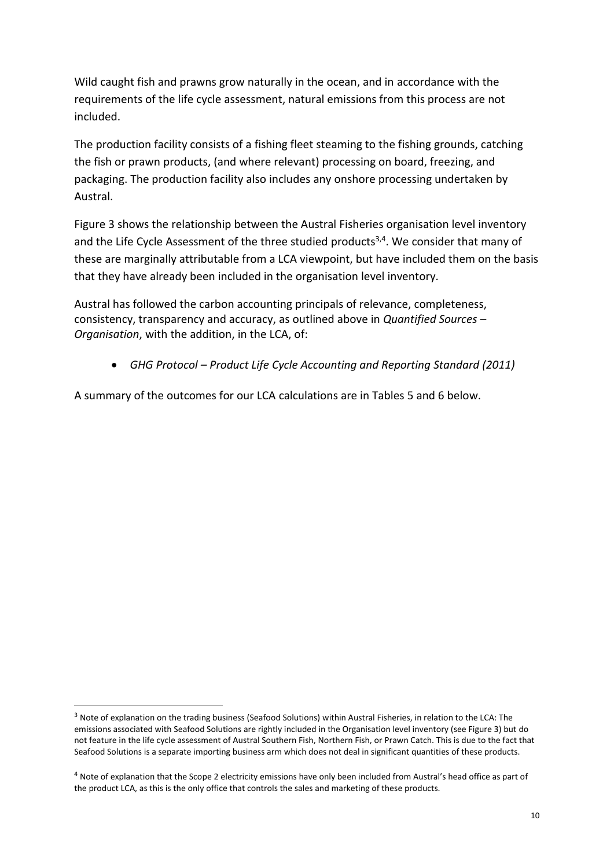Wild caught fish and prawns grow naturally in the ocean, and in accordance with the requirements of the life cycle assessment, natural emissions from this process are not included.

The production facility consists of a fishing fleet steaming to the fishing grounds, catching the fish or prawn products, (and where relevant) processing on board, freezing, and packaging. The production facility also includes any onshore processing undertaken by Austral.

Figure 3 shows the relationship between the Austral Fisheries organisation level inventory and the Life Cycle Assessment of the three studied products<sup>3,4</sup>. We consider that many of these are marginally attributable from a LCA viewpoint, but have included them on the basis that they have already been included in the organisation level inventory.

Austral has followed the carbon accounting principals of relevance, completeness, consistency, transparency and accuracy, as outlined above in *Quantified Sources – Organisation*, with the addition, in the LCA, of:

• *GHG Protocol – Product Life Cycle Accounting and Reporting Standard (2011)*

A summary of the outcomes for our LCA calculations are in Tables 5 and 6 below.

**.** 

<sup>3</sup> Note of explanation on the trading business (Seafood Solutions) within Austral Fisheries, in relation to the LCA: The emissions associated with Seafood Solutions are rightly included in the Organisation level inventory (see Figure 3) but do not feature in the life cycle assessment of Austral Southern Fish, Northern Fish, or Prawn Catch. This is due to the fact that Seafood Solutions is a separate importing business arm which does not deal in significant quantities of these products.

<sup>&</sup>lt;sup>4</sup> Note of explanation that the Scope 2 electricity emissions have only been included from Austral's head office as part of the product LCA, as this is the only office that controls the sales and marketing of these products.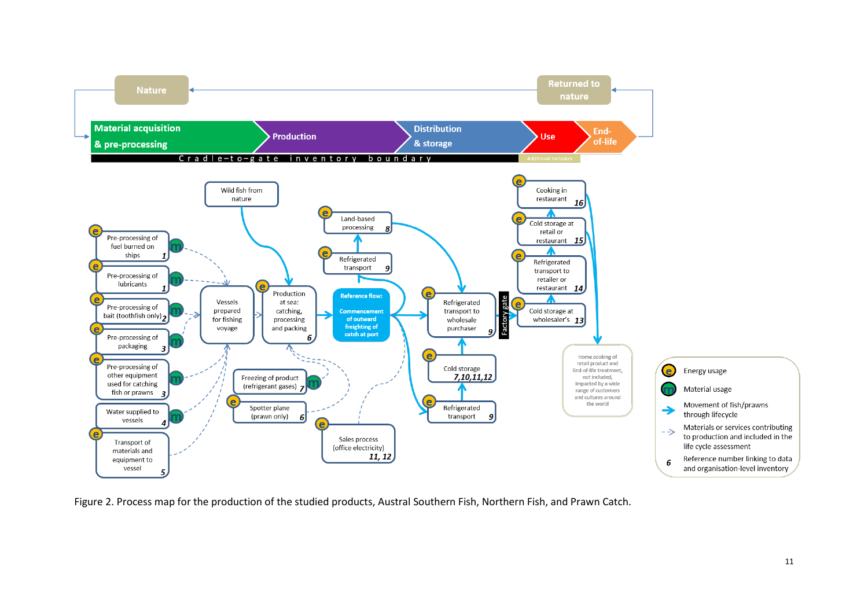

Figure 2. Process map for the production of the studied products, Austral Southern Fish, Northern Fish, and Prawn Catch.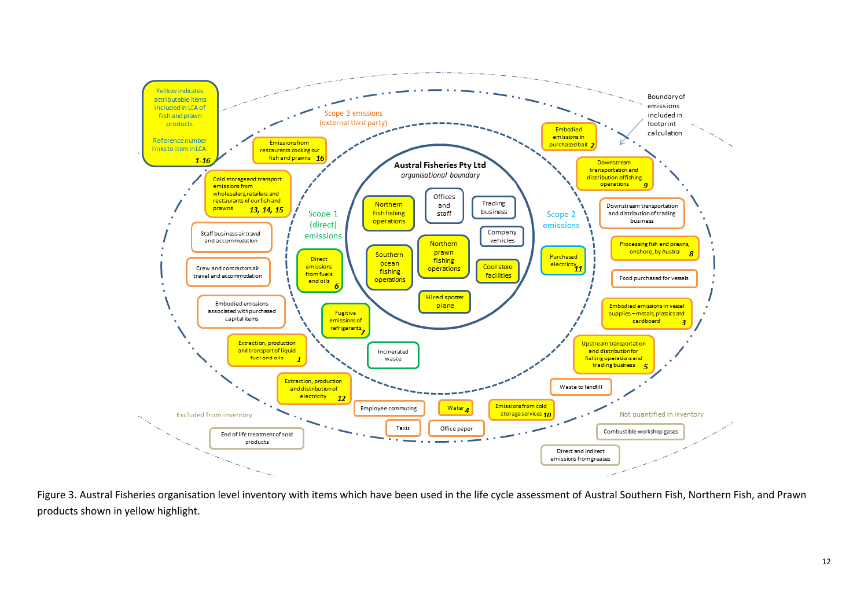

Figure 3. Austral Fisheries organisation level inventory with items which have been used in the life cycle assessment of Austral Southern Fish, Northern Fish, and Prawn products shown in yellow highlight.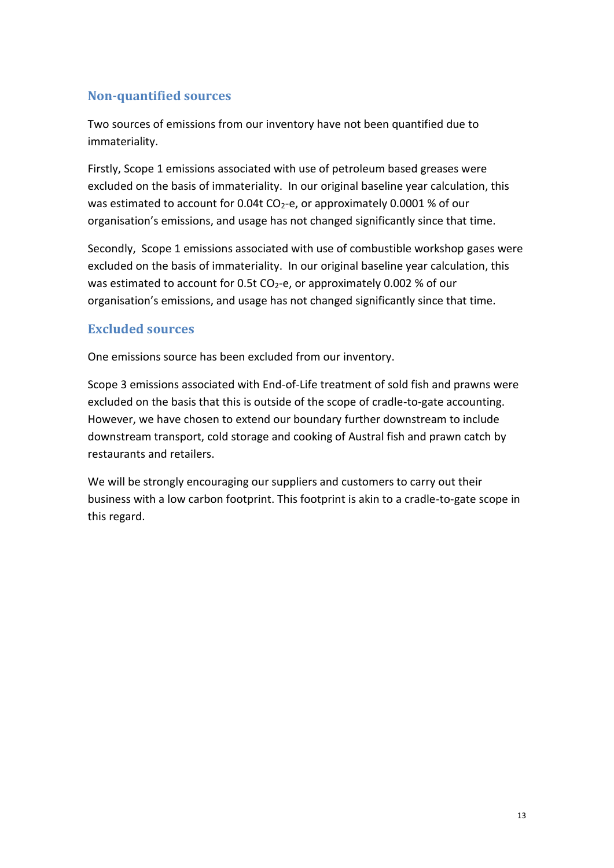#### <span id="page-12-0"></span>**Non-quantified sources**

Two sources of emissions from our inventory have not been quantified due to immateriality.

Firstly, Scope 1 emissions associated with use of petroleum based greases were excluded on the basis of immateriality. In our original baseline year calculation, this was estimated to account for 0.04t  $CO<sub>2</sub>$ -e, or approximately 0.0001 % of our organisation's emissions, and usage has not changed significantly since that time.

Secondly, Scope 1 emissions associated with use of combustible workshop gases were excluded on the basis of immateriality. In our original baseline year calculation, this was estimated to account for 0.5t  $CO<sub>2</sub>$ -e, or approximately 0.002 % of our organisation's emissions, and usage has not changed significantly since that time.

#### <span id="page-12-1"></span>**Excluded sources**

One emissions source has been excluded from our inventory.

Scope 3 emissions associated with End-of-Life treatment of sold fish and prawns were excluded on the basis that this is outside of the scope of cradle-to-gate accounting. However, we have chosen to extend our boundary further downstream to include downstream transport, cold storage and cooking of Austral fish and prawn catch by restaurants and retailers.

We will be strongly encouraging our suppliers and customers to carry out their business with a low carbon footprint. This footprint is akin to a cradle-to-gate scope in this regard.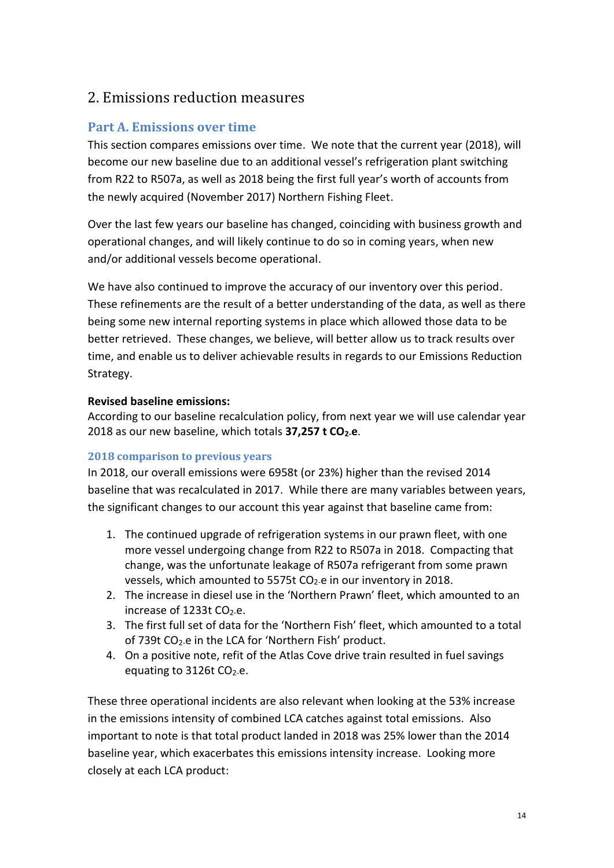### <span id="page-13-0"></span>2. Emissions reduction measures

#### <span id="page-13-1"></span>**Part A. Emissions over time**

This section compares emissions over time. We note that the current year (2018), will become our new baseline due to an additional vessel's refrigeration plant switching from R22 to R507a, as well as 2018 being the first full year's worth of accounts from the newly acquired (November 2017) Northern Fishing Fleet.

Over the last few years our baseline has changed, coinciding with business growth and operational changes, and will likely continue to do so in coming years, when new and/or additional vessels become operational.

We have also continued to improve the accuracy of our inventory over this period. These refinements are the result of a better understanding of the data, as well as there being some new internal reporting systems in place which allowed those data to be better retrieved. These changes, we believe, will better allow us to track results over time, and enable us to deliver achievable results in regards to our Emissions Reduction Strategy.

#### **Revised baseline emissions:**

According to our baseline recalculation policy, from next year we will use calendar year 2018 as our new baseline, which totals **37,257 t CO2-e**.

#### <span id="page-13-2"></span>**2018 comparison to previous years**

In 2018, our overall emissions were 6958t (or 23%) higher than the revised 2014 baseline that was recalculated in 2017. While there are many variables between years, the significant changes to our account this year against that baseline came from:

- 1. The continued upgrade of refrigeration systems in our prawn fleet, with one more vessel undergoing change from R22 to R507a in 2018. Compacting that change, was the unfortunate leakage of R507a refrigerant from some prawn vessels, which amounted to 5575t CO<sub>2-</sub>e in our inventory in 2018.
- 2. The increase in diesel use in the 'Northern Prawn' fleet, which amounted to an increase of  $1233t$  CO<sub>2-e</sub>.
- 3. The first full set of data for the 'Northern Fish' fleet, which amounted to a total of 739t CO<sub>2-</sub>e in the LCA for 'Northern Fish' product.
- 4. On a positive note, refit of the Atlas Cove drive train resulted in fuel savings equating to 3126t CO<sub>2-e</sub>.

These three operational incidents are also relevant when looking at the 53% increase in the emissions intensity of combined LCA catches against total emissions. Also important to note is that total product landed in 2018 was 25% lower than the 2014 baseline year, which exacerbates this emissions intensity increase. Looking more closely at each LCA product: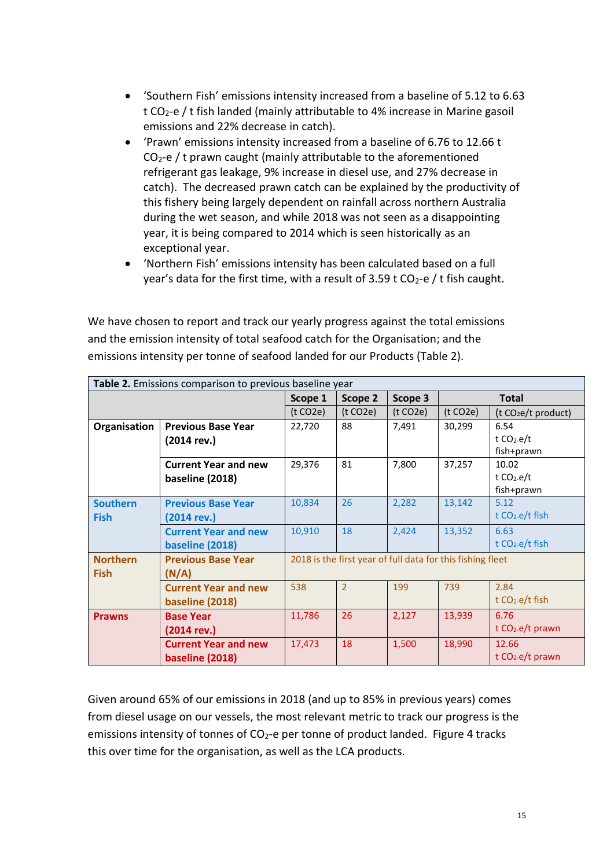- 'Southern Fish' emissions intensity increased from a baseline of 5.12 to 6.63 t CO<sub>2</sub>-e / t fish landed (mainly attributable to 4% increase in Marine gasoil emissions and 22% decrease in catch).
- 'Prawn' emissions intensity increased from a baseline of 6.76 to 12.66 t  $CO<sub>2</sub>$ -e / t prawn caught (mainly attributable to the aforementioned refrigerant gas leakage, 9% increase in diesel use, and 27% decrease in catch). The decreased prawn catch can be explained by the productivity of this fishery being largely dependent on rainfall across northern Australia during the wet season, and while 2018 was not seen as a disappointing year, it is being compared to 2014 which is seen historically as an exceptional year.
- 'Northern Fish' emissions intensity has been calculated based on a full year's data for the first time, with a result of  $3.59$  t  $CO<sub>2</sub>$ -e / t fish caught.

We have chosen to report and track our yearly progress against the total emissions and the emission intensity of total seafood catch for the Organisation; and the emissions intensity per tonne of seafood landed for our Products (Table 2).

| Table 2. Emissions comparison to previous baseline year |                             |          |                |          |                                                            |                                 |
|---------------------------------------------------------|-----------------------------|----------|----------------|----------|------------------------------------------------------------|---------------------------------|
|                                                         |                             | Scope 1  | Scope 2        | Scope 3  |                                                            | <b>Total</b>                    |
|                                                         |                             | (t CO2e) | (t CO2e)       | (t CO2e) | (t CO2e)                                                   | (t CO <sub>2</sub> e/t product) |
| Organisation                                            | <b>Previous Base Year</b>   | 22,720   | 88             | 7,491    | 30,299                                                     | 6.54                            |
|                                                         | $(2014$ rev.)               |          |                |          |                                                            | t $CO2$ -e/t                    |
|                                                         |                             |          |                |          |                                                            | fish+prawn                      |
|                                                         | <b>Current Year and new</b> | 29,376   | 81             | 7,800    | 37,257                                                     | 10.02                           |
|                                                         | baseline (2018)             |          |                |          |                                                            | t $CO2$ -e/t                    |
|                                                         |                             |          |                |          |                                                            | fish+prawn                      |
| <b>Southern</b>                                         | <b>Previous Base Year</b>   | 10,834   | 26             | 2,282    | 13,142                                                     | 5.12                            |
| <b>Fish</b>                                             | $(2014 \text{ rev.})$       |          |                |          |                                                            | t $CO2$ -e/t fish               |
|                                                         | <b>Current Year and new</b> | 10,910   | 18             | 2,424    | 13,352                                                     | 6.63                            |
|                                                         | baseline (2018)             |          |                |          |                                                            | t $CO2$ -e/t fish               |
| <b>Northern</b>                                         | <b>Previous Base Year</b>   |          |                |          | 2018 is the first year of full data for this fishing fleet |                                 |
| <b>Fish</b>                                             | (N/A)                       |          |                |          |                                                            |                                 |
|                                                         | <b>Current Year and new</b> | 538      | $\overline{2}$ | 199      | 739                                                        | 2.84                            |
|                                                         | baseline (2018)             |          |                |          |                                                            | t CO <sub>2</sub> -e/t fish     |
| <b>Prawns</b>                                           | <b>Base Year</b>            | 11,786   | 26             | 2,127    | 13,939                                                     | 6.76                            |
|                                                         | $(2014 \text{ rev.})$       |          |                |          |                                                            | t CO <sub>2</sub> -e/t prawn    |
|                                                         | <b>Current Year and new</b> | 17,473   | 18             | 1,500    | 18,990                                                     | 12.66                           |
|                                                         | baseline (2018)             |          |                |          |                                                            | t CO <sub>2</sub> -e/t prawn    |

Given around 65% of our emissions in 2018 (and up to 85% in previous years) comes from diesel usage on our vessels, the most relevant metric to track our progress is the emissions intensity of tonnes of  $CO<sub>2</sub>$ -e per tonne of product landed. Figure 4 tracks this over time for the organisation, as well as the LCA products.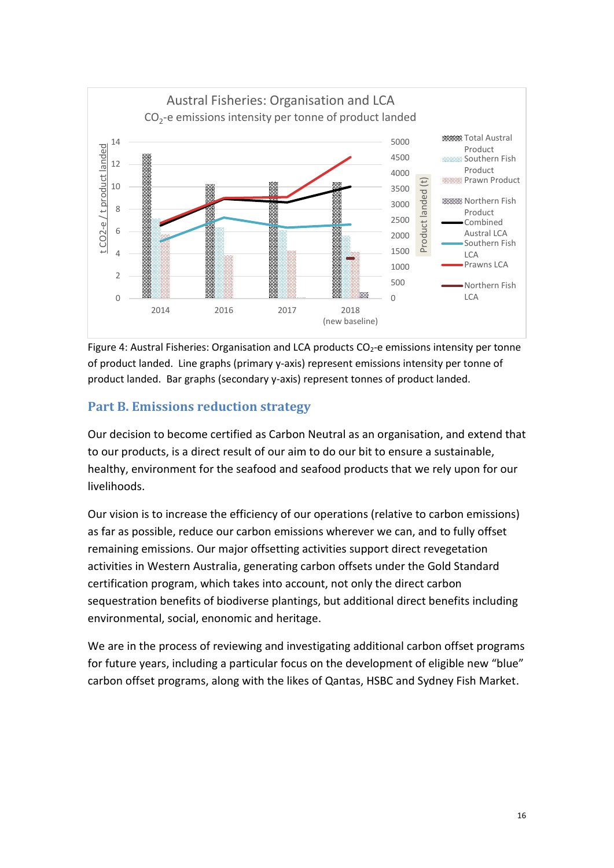

Figure 4: Austral Fisheries: Organisation and LCA products  $CO<sub>2</sub>$ -e emissions intensity per tonne of product landed. Line graphs (primary y-axis) represent emissions intensity per tonne of product landed. Bar graphs (secondary y-axis) represent tonnes of product landed.

#### <span id="page-15-0"></span>**Part B. Emissions reduction strategy**

Our decision to become certified as Carbon Neutral as an organisation, and extend that to our products, is a direct result of our aim to do our bit to ensure a sustainable, healthy, environment for the seafood and seafood products that we rely upon for our livelihoods.

Our vision is to increase the efficiency of our operations (relative to carbon emissions) as far as possible, reduce our carbon emissions wherever we can, and to fully offset remaining emissions. Our major offsetting activities support direct revegetation activities in Western Australia, generating carbon offsets under the Gold Standard certification program, which takes into account, not only the direct carbon sequestration benefits of biodiverse plantings, but additional direct benefits including environmental, social, enonomic and heritage.

We are in the process of reviewing and investigating additional carbon offset programs for future years, including a particular focus on the development of eligible new "blue" carbon offset programs, along with the likes of Qantas, HSBC and Sydney Fish Market.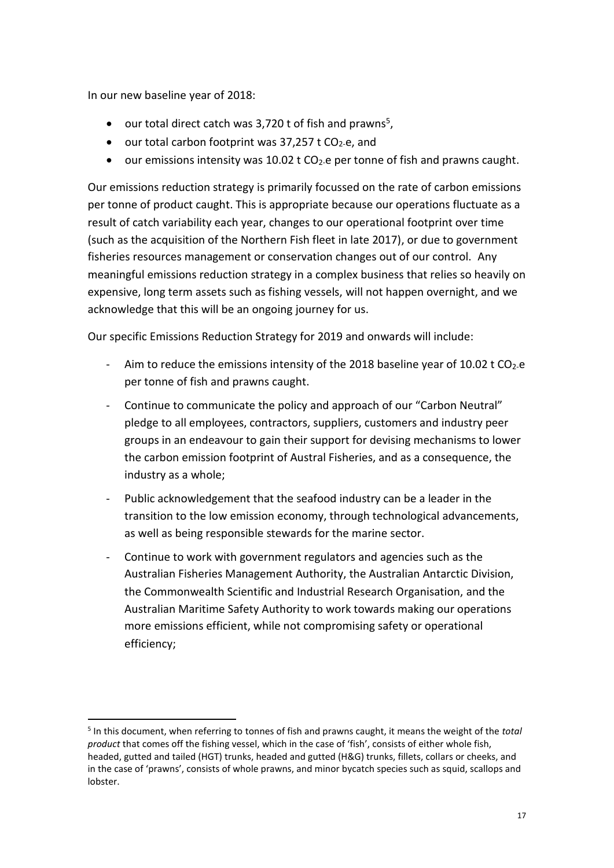In our new baseline year of 2018:

**.** 

- $\bullet$  our total direct catch was 3,720 t of fish and prawns<sup>5</sup>,
- our total carbon footprint was  $37,257$  t CO<sub>2-</sub>e, and
- our emissions intensity was 10.02 t  $CO<sub>2</sub>$  e per tonne of fish and prawns caught.

Our emissions reduction strategy is primarily focussed on the rate of carbon emissions per tonne of product caught. This is appropriate because our operations fluctuate as a result of catch variability each year, changes to our operational footprint over time (such as the acquisition of the Northern Fish fleet in late 2017), or due to government fisheries resources management or conservation changes out of our control. Any meaningful emissions reduction strategy in a complex business that relies so heavily on expensive, long term assets such as fishing vessels, will not happen overnight, and we acknowledge that this will be an ongoing journey for us.

Our specific Emissions Reduction Strategy for 2019 and onwards will include:

- Aim to reduce the emissions intensity of the 2018 baseline year of 10.02 t  $CO<sub>2</sub>$ -e per tonne of fish and prawns caught.
- Continue to communicate the policy and approach of our "Carbon Neutral" pledge to all employees, contractors, suppliers, customers and industry peer groups in an endeavour to gain their support for devising mechanisms to lower the carbon emission footprint of Austral Fisheries, and as a consequence, the industry as a whole;
- Public acknowledgement that the seafood industry can be a leader in the transition to the low emission economy, through technological advancements, as well as being responsible stewards for the marine sector.
- Continue to work with government regulators and agencies such as the Australian Fisheries Management Authority, the Australian Antarctic Division, the Commonwealth Scientific and Industrial Research Organisation, and the Australian Maritime Safety Authority to work towards making our operations more emissions efficient, while not compromising safety or operational efficiency;

<sup>5</sup> In this document, when referring to tonnes of fish and prawns caught, it means the weight of the *total product* that comes off the fishing vessel, which in the case of 'fish', consists of either whole fish, headed, gutted and tailed (HGT) trunks, headed and gutted (H&G) trunks, fillets, collars or cheeks, and in the case of 'prawns', consists of whole prawns, and minor bycatch species such as squid, scallops and lobster.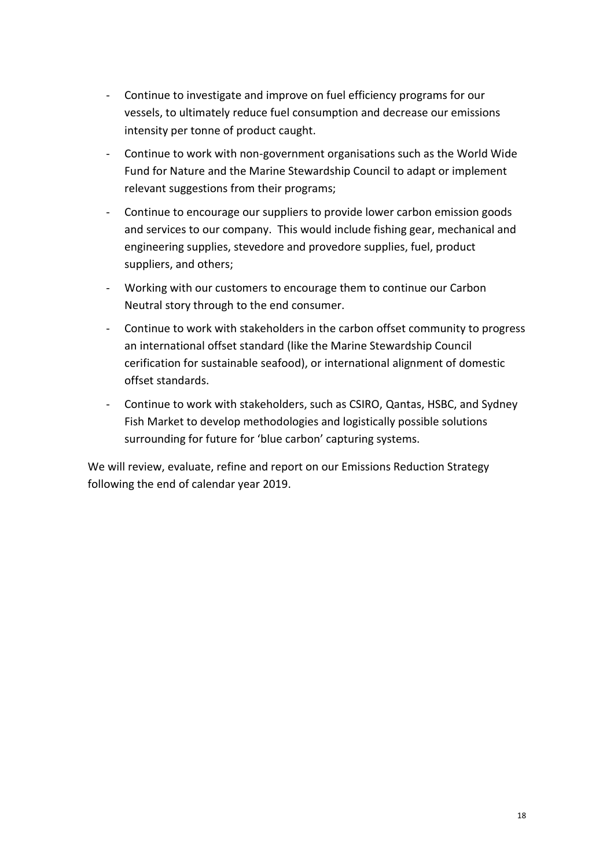- Continue to investigate and improve on fuel efficiency programs for our vessels, to ultimately reduce fuel consumption and decrease our emissions intensity per tonne of product caught.
- Continue to work with non-government organisations such as the World Wide Fund for Nature and the Marine Stewardship Council to adapt or implement relevant suggestions from their programs;
- Continue to encourage our suppliers to provide lower carbon emission goods and services to our company. This would include fishing gear, mechanical and engineering supplies, stevedore and provedore supplies, fuel, product suppliers, and others;
- Working with our customers to encourage them to continue our Carbon Neutral story through to the end consumer.
- Continue to work with stakeholders in the carbon offset community to progress an international offset standard (like the Marine Stewardship Council cerification for sustainable seafood), or international alignment of domestic offset standards.
- Continue to work with stakeholders, such as CSIRO, Qantas, HSBC, and Sydney Fish Market to develop methodologies and logistically possible solutions surrounding for future for 'blue carbon' capturing systems.

We will review, evaluate, refine and report on our Emissions Reduction Strategy following the end of calendar year 2019.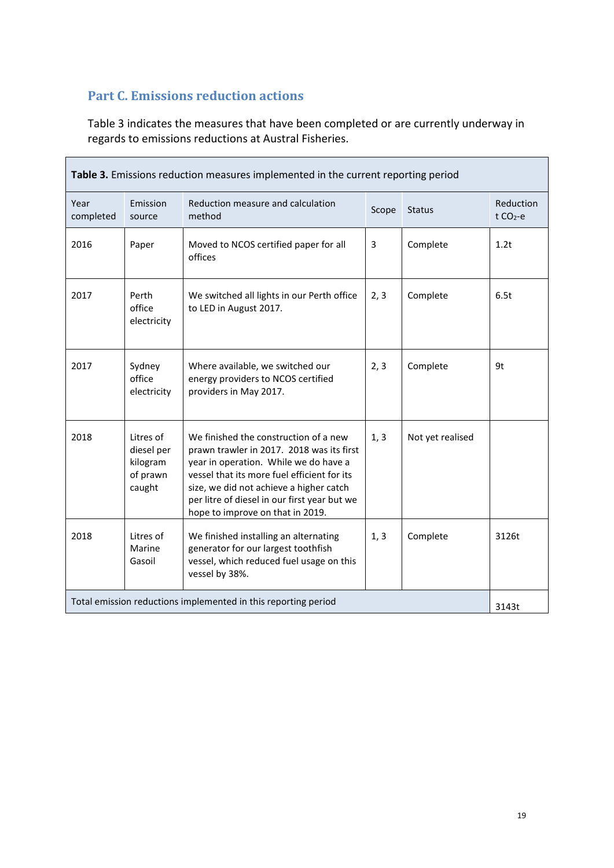### <span id="page-18-0"></span>**Part C. Emissions reduction actions**

Table 3 indicates the measures that have been completed or are currently underway in regards to emissions reductions at Austral Fisheries.

| Table 3. Emissions reduction measures implemented in the current reporting period |                                                           |                                                                                                                                                                                                                                                                                                           |       |                  |                        |
|-----------------------------------------------------------------------------------|-----------------------------------------------------------|-----------------------------------------------------------------------------------------------------------------------------------------------------------------------------------------------------------------------------------------------------------------------------------------------------------|-------|------------------|------------------------|
| Year<br>completed                                                                 | Emission<br>source                                        | Reduction measure and calculation<br>method                                                                                                                                                                                                                                                               | Scope | <b>Status</b>    | Reduction<br>t $CO2-e$ |
| 2016                                                                              | Paper                                                     | Moved to NCOS certified paper for all<br>offices                                                                                                                                                                                                                                                          | 3     | Complete         | 1.2t                   |
| 2017                                                                              | Perth<br>office<br>electricity                            | We switched all lights in our Perth office<br>to LED in August 2017.                                                                                                                                                                                                                                      | 2, 3  | Complete         | 6.5t                   |
| 2017                                                                              | Sydney<br>office<br>electricity                           | Where available, we switched our<br>energy providers to NCOS certified<br>providers in May 2017.                                                                                                                                                                                                          | 2, 3  | Complete         | 9t                     |
| 2018                                                                              | Litres of<br>diesel per<br>kilogram<br>of prawn<br>caught | We finished the construction of a new<br>prawn trawler in 2017. 2018 was its first<br>year in operation. While we do have a<br>vessel that its more fuel efficient for its<br>size, we did not achieve a higher catch<br>per litre of diesel in our first year but we<br>hope to improve on that in 2019. | 1, 3  | Not yet realised |                        |
| 2018                                                                              | Litres of<br>Marine<br>Gasoil                             | We finished installing an alternating<br>generator for our largest toothfish<br>vessel, which reduced fuel usage on this<br>vessel by 38%.                                                                                                                                                                | 1, 3  | Complete         | 3126t                  |
| Total emission reductions implemented in this reporting period                    |                                                           |                                                                                                                                                                                                                                                                                                           |       | 3143t            |                        |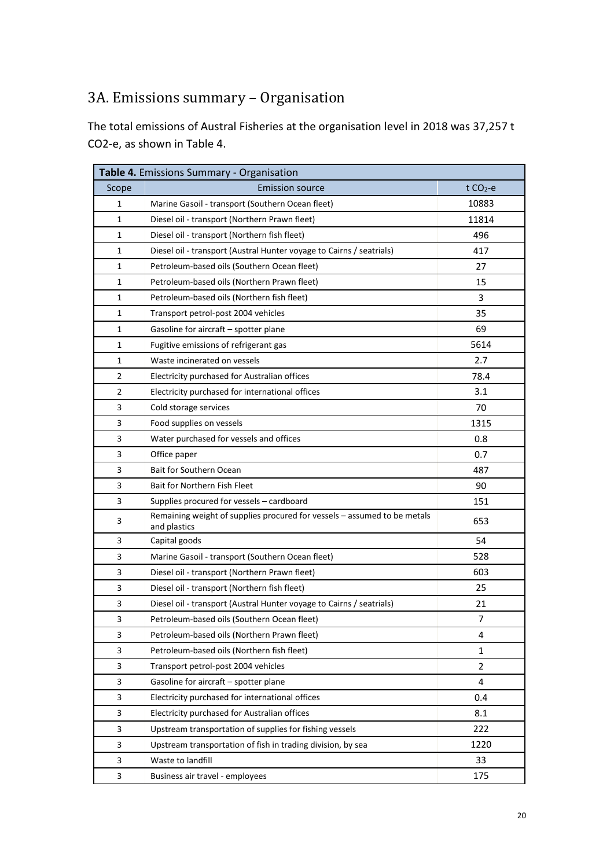# <span id="page-19-0"></span>3A. Emissions summary – Organisation

The total emissions of Austral Fisheries at the organisation level in 2018 was 37,257 t CO2-e, as shown in Table 4.

| Table 4. Emissions Summary - Organisation |                                                                                          |                |  |  |
|-------------------------------------------|------------------------------------------------------------------------------------------|----------------|--|--|
| Scope                                     | <b>Emission source</b>                                                                   | $t CO2-e$      |  |  |
| 1                                         | Marine Gasoil - transport (Southern Ocean fleet)                                         | 10883          |  |  |
| 1                                         | Diesel oil - transport (Northern Prawn fleet)                                            | 11814          |  |  |
| 1                                         | Diesel oil - transport (Northern fish fleet)                                             | 496            |  |  |
| 1                                         | Diesel oil - transport (Austral Hunter voyage to Cairns / seatrials)                     | 417            |  |  |
| 1                                         | Petroleum-based oils (Southern Ocean fleet)                                              | 27             |  |  |
| 1                                         | Petroleum-based oils (Northern Prawn fleet)                                              | 15             |  |  |
| 1                                         | Petroleum-based oils (Northern fish fleet)                                               | 3              |  |  |
| 1                                         | Transport petrol-post 2004 vehicles                                                      | 35             |  |  |
| $\mathbf{1}$                              | Gasoline for aircraft - spotter plane                                                    | 69             |  |  |
| 1                                         | Fugitive emissions of refrigerant gas                                                    | 5614           |  |  |
| 1                                         | Waste incinerated on vessels                                                             | 2.7            |  |  |
| 2                                         | Electricity purchased for Australian offices                                             | 78.4           |  |  |
| 2                                         | Electricity purchased for international offices                                          | 3.1            |  |  |
| 3                                         | Cold storage services                                                                    | 70             |  |  |
| 3                                         | Food supplies on vessels                                                                 | 1315           |  |  |
| 3                                         | Water purchased for vessels and offices                                                  | 0.8            |  |  |
| 3                                         | Office paper                                                                             | 0.7            |  |  |
| 3                                         | Bait for Southern Ocean                                                                  | 487            |  |  |
| 3                                         | Bait for Northern Fish Fleet                                                             | 90             |  |  |
| 3                                         | Supplies procured for vessels - cardboard                                                | 151            |  |  |
| 3                                         | Remaining weight of supplies procured for vessels - assumed to be metals<br>and plastics | 653            |  |  |
| 3                                         | Capital goods                                                                            | 54             |  |  |
| 3                                         | Marine Gasoil - transport (Southern Ocean fleet)                                         | 528            |  |  |
| 3                                         | Diesel oil - transport (Northern Prawn fleet)                                            | 603            |  |  |
| 3                                         | Diesel oil - transport (Northern fish fleet)                                             | 25             |  |  |
| 3                                         | Diesel oil - transport (Austral Hunter voyage to Cairns / seatrials)                     | 21             |  |  |
| 3                                         | Petroleum-based oils (Southern Ocean fleet)                                              | $\overline{7}$ |  |  |
| 3                                         | Petroleum-based oils (Northern Prawn fleet)                                              | 4              |  |  |
| 3                                         | Petroleum-based oils (Northern fish fleet)                                               | $\mathbf{1}$   |  |  |
| 3                                         | Transport petrol-post 2004 vehicles                                                      | $\overline{2}$ |  |  |
| 3                                         | Gasoline for aircraft - spotter plane                                                    | 4              |  |  |
| 3                                         | Electricity purchased for international offices                                          | 0.4            |  |  |
| 3                                         | Electricity purchased for Australian offices                                             | 8.1            |  |  |
| 3                                         | Upstream transportation of supplies for fishing vessels                                  | 222            |  |  |
| 3                                         | Upstream transportation of fish in trading division, by sea                              | 1220           |  |  |
| 3                                         | Waste to landfill                                                                        | 33             |  |  |
| 3                                         | Business air travel - employees                                                          | 175            |  |  |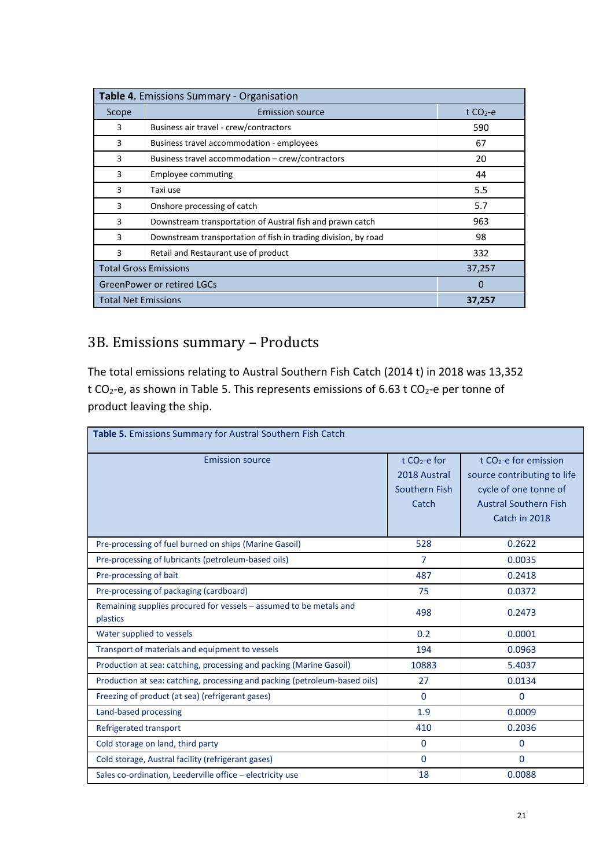| Table 4. Emissions Summary - Organisation |                                                                |             |  |
|-------------------------------------------|----------------------------------------------------------------|-------------|--|
| Scope                                     | <b>Emission source</b>                                         | t $CO2 - e$ |  |
| 3                                         | Business air travel - crew/contractors                         | 590         |  |
| 3                                         | Business travel accommodation - employees                      | 67          |  |
| 3                                         | Business travel accommodation - crew/contractors               | 20          |  |
| 3                                         | <b>Employee commuting</b>                                      | 44          |  |
| 3                                         | Taxi use                                                       | 5.5         |  |
| 3                                         | Onshore processing of catch                                    | 5.7         |  |
| 3                                         | Downstream transportation of Austral fish and prawn catch      | 963         |  |
| 3                                         | Downstream transportation of fish in trading division, by road | 98          |  |
| 3                                         | Retail and Restaurant use of product                           | 332         |  |
| <b>Total Gross Emissions</b>              | 37,257                                                         |             |  |
| <b>GreenPower or retired LGCs</b>         |                                                                | $\Omega$    |  |
| <b>Total Net Emissions</b><br>37,257      |                                                                |             |  |

# <span id="page-20-0"></span>3B. Emissions summary – Products

The total emissions relating to Austral Southern Fish Catch (2014 t) in 2018 was 13,352 t CO<sub>2</sub>-e, as shown in Table 5. This represents emissions of 6.63 t CO<sub>2</sub>-e per tonne of product leaving the ship.

| Table 5. Emissions Summary for Austral Southern Fish Catch                     |                                                                    |                                                                                                                                            |  |  |
|--------------------------------------------------------------------------------|--------------------------------------------------------------------|--------------------------------------------------------------------------------------------------------------------------------------------|--|--|
| <b>Emission source</b>                                                         | t CO <sub>2</sub> -e for<br>2018 Austral<br>Southern Fish<br>Catch | t CO <sub>2</sub> -e for emission<br>source contributing to life<br>cycle of one tonne of<br><b>Austral Southern Fish</b><br>Catch in 2018 |  |  |
| Pre-processing of fuel burned on ships (Marine Gasoil)                         | 528                                                                | 0.2622                                                                                                                                     |  |  |
| Pre-processing of lubricants (petroleum-based oils)                            | $\overline{7}$                                                     | 0.0035                                                                                                                                     |  |  |
| Pre-processing of bait                                                         | 487                                                                | 0.2418                                                                                                                                     |  |  |
| Pre-processing of packaging (cardboard)                                        | 75                                                                 | 0.0372                                                                                                                                     |  |  |
| Remaining supplies procured for vessels - assumed to be metals and<br>plastics | 498                                                                | 0.2473                                                                                                                                     |  |  |
| Water supplied to vessels                                                      | 0.2                                                                | 0.0001                                                                                                                                     |  |  |
| Transport of materials and equipment to vessels                                | 194                                                                | 0.0963                                                                                                                                     |  |  |
| Production at sea: catching, processing and packing (Marine Gasoil)            | 10883                                                              | 5.4037                                                                                                                                     |  |  |
| Production at sea: catching, processing and packing (petroleum-based oils)     | 27                                                                 | 0.0134                                                                                                                                     |  |  |
| Freezing of product (at sea) (refrigerant gases)                               | $\Omega$                                                           | 0                                                                                                                                          |  |  |
| Land-based processing                                                          | 1.9                                                                | 0.0009                                                                                                                                     |  |  |
| Refrigerated transport                                                         | 410                                                                | 0.2036                                                                                                                                     |  |  |
| Cold storage on land, third party                                              | $\Omega$                                                           | $\Omega$                                                                                                                                   |  |  |
| Cold storage, Austral facility (refrigerant gases)                             | $\Omega$                                                           | $\Omega$                                                                                                                                   |  |  |
| Sales co-ordination, Leederville office - electricity use                      | 18                                                                 | 0.0088                                                                                                                                     |  |  |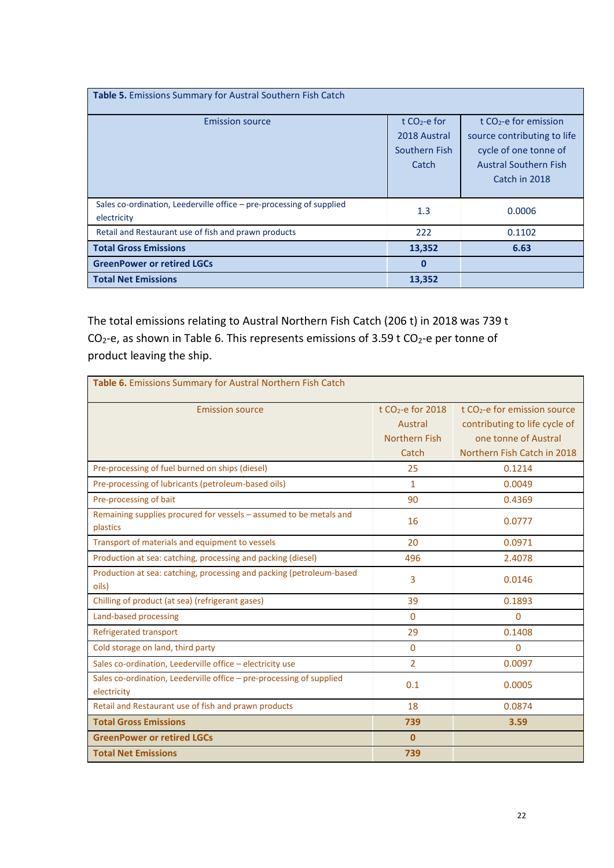| <b>Table 5.</b> Emissions Summary for Austral Southern Fish Catch                   |                                                          |                                                                                                                                            |  |  |  |
|-------------------------------------------------------------------------------------|----------------------------------------------------------|--------------------------------------------------------------------------------------------------------------------------------------------|--|--|--|
| <b>Emission source</b>                                                              | t $CO2$ -e for<br>2018 Austral<br>Southern Fish<br>Catch | t CO <sub>2</sub> -e for emission<br>source contributing to life<br>cycle of one tonne of<br><b>Austral Southern Fish</b><br>Catch in 2018 |  |  |  |
| Sales co-ordination, Leederville office - pre-processing of supplied<br>electricity | 1.3                                                      | 0.0006                                                                                                                                     |  |  |  |
| Retail and Restaurant use of fish and prawn products                                | 222                                                      | 0.1102                                                                                                                                     |  |  |  |
| <b>Total Gross Emissions</b>                                                        | 13,352                                                   | 6.63                                                                                                                                       |  |  |  |
| <b>GreenPower or retired LGCs</b>                                                   | $\bf{0}$                                                 |                                                                                                                                            |  |  |  |
| <b>Total Net Emissions</b>                                                          | 13,352                                                   |                                                                                                                                            |  |  |  |

The total emissions relating to Austral Northern Fish Catch (206 t) in 2018 was 739 t  $CO<sub>2</sub>$ -e, as shown in Table 6. This represents emissions of 3.59 t  $CO<sub>2</sub>$ -e per tonne of product leaving the ship.

| Table 6. Emissions Summary for Austral Northern Fish Catch           |                      |                                          |  |  |  |
|----------------------------------------------------------------------|----------------------|------------------------------------------|--|--|--|
| <b>Emission source</b>                                               | t $CO2$ -e for 2018  | t CO <sub>2</sub> -e for emission source |  |  |  |
|                                                                      | Austral              | contributing to life cycle of            |  |  |  |
|                                                                      | <b>Northern Fish</b> | one tonne of Austral                     |  |  |  |
|                                                                      | Catch                | Northern Fish Catch in 2018              |  |  |  |
| Pre-processing of fuel burned on ships (diesel)                      | 25                   | 0.1214                                   |  |  |  |
| Pre-processing of lubricants (petroleum-based oils)                  | $\mathbf{1}$         | 0.0049                                   |  |  |  |
| Pre-processing of bait                                               | 90                   | 0.4369                                   |  |  |  |
| Remaining supplies procured for vessels - assumed to be metals and   | 16                   | 0.0777                                   |  |  |  |
| plastics                                                             |                      |                                          |  |  |  |
| Transport of materials and equipment to vessels                      | 20                   | 0.0971                                   |  |  |  |
| Production at sea: catching, processing and packing (diesel)         | 496                  | 2.4078                                   |  |  |  |
| Production at sea: catching, processing and packing (petroleum-based | 3                    | 0.0146                                   |  |  |  |
| oils)                                                                |                      |                                          |  |  |  |
| Chilling of product (at sea) (refrigerant gases)                     | 39                   | 0.1893                                   |  |  |  |
| Land-based processing                                                | $\Omega$             | $\mathbf{0}$                             |  |  |  |
| Refrigerated transport                                               | 29                   | 0.1408                                   |  |  |  |
| Cold storage on land, third party                                    | $\Omega$             | $\Omega$                                 |  |  |  |
| Sales co-ordination, Leederville office - electricity use            | $\overline{2}$       | 0.0097                                   |  |  |  |
| Sales co-ordination, Leederville office - pre-processing of supplied | 0.1                  | 0.0005                                   |  |  |  |
| electricity                                                          |                      |                                          |  |  |  |
| Retail and Restaurant use of fish and prawn products                 | 18                   | 0.0874                                   |  |  |  |
| <b>Total Gross Emissions</b>                                         | 739                  | 3.59                                     |  |  |  |
| <b>GreenPower or retired LGCs</b>                                    | $\mathbf{0}$         |                                          |  |  |  |
| <b>Total Net Emissions</b>                                           | 739                  |                                          |  |  |  |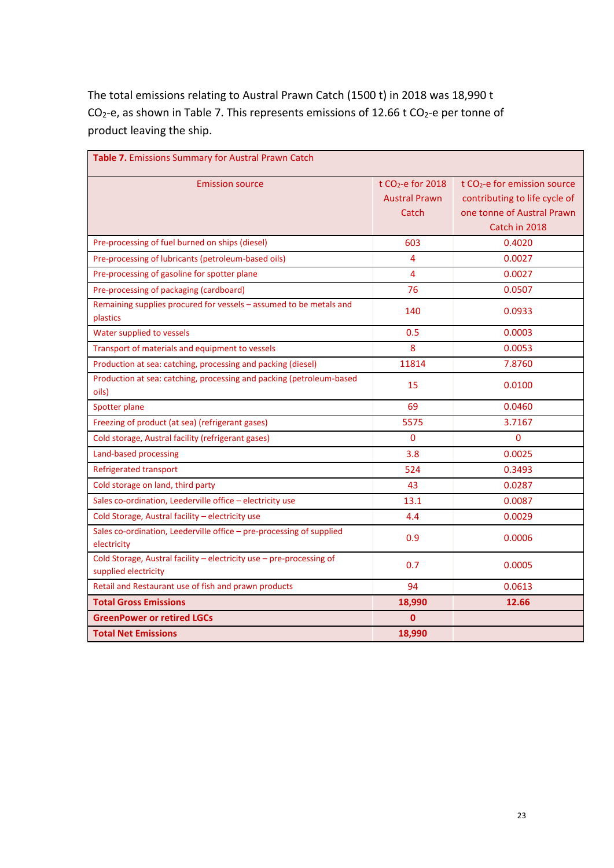The total emissions relating to Austral Prawn Catch (1500 t) in 2018 was 18,990 t  $CO<sub>2</sub>$ -e, as shown in Table 7. This represents emissions of 12.66 t  $CO<sub>2</sub>$ -e per tonne of product leaving the ship.

| Table 7. Emissions Summary for Austral Prawn Catch                                           |                      |                                          |
|----------------------------------------------------------------------------------------------|----------------------|------------------------------------------|
| <b>Emission source</b>                                                                       | t $CO2$ -e for 2018  | t CO <sub>2</sub> -e for emission source |
|                                                                                              | <b>Austral Prawn</b> | contributing to life cycle of            |
|                                                                                              | Catch                | one tonne of Austral Prawn               |
|                                                                                              |                      | Catch in 2018                            |
| Pre-processing of fuel burned on ships (diesel)                                              | 603                  | 0.4020                                   |
| Pre-processing of lubricants (petroleum-based oils)                                          | 4                    | 0.0027                                   |
| Pre-processing of gasoline for spotter plane                                                 | 4                    | 0.0027                                   |
| Pre-processing of packaging (cardboard)                                                      | 76                   | 0.0507                                   |
| Remaining supplies procured for vessels - assumed to be metals and<br>plastics               | 140                  | 0.0933                                   |
| Water supplied to vessels                                                                    | 0.5                  | 0.0003                                   |
| Transport of materials and equipment to vessels                                              | 8                    | 0.0053                                   |
| Production at sea: catching, processing and packing (diesel)                                 | 11814                | 7.8760                                   |
| Production at sea: catching, processing and packing (petroleum-based<br>oils)                | 15                   | 0.0100                                   |
| Spotter plane                                                                                | 69                   | 0.0460                                   |
| Freezing of product (at sea) (refrigerant gases)                                             | 5575                 | 3.7167                                   |
| Cold storage, Austral facility (refrigerant gases)                                           | 0                    | $\Omega$                                 |
| Land-based processing                                                                        | 3.8                  | 0.0025                                   |
| <b>Refrigerated transport</b>                                                                | 524                  | 0.3493                                   |
| Cold storage on land, third party                                                            | 43                   | 0.0287                                   |
| Sales co-ordination, Leederville office - electricity use                                    | 13.1                 | 0.0087                                   |
| Cold Storage, Austral facility - electricity use                                             | 4.4                  | 0.0029                                   |
| Sales co-ordination, Leederville office - pre-processing of supplied<br>electricity          | 0.9                  | 0.0006                                   |
| Cold Storage, Austral facility - electricity use - pre-processing of<br>supplied electricity | 0.7                  | 0.0005                                   |
| Retail and Restaurant use of fish and prawn products                                         | 94                   | 0.0613                                   |
| <b>Total Gross Emissions</b>                                                                 | 18,990               | 12.66                                    |
| <b>GreenPower or retired LGCs</b>                                                            | 0                    |                                          |
| <b>Total Net Emissions</b>                                                                   | 18,990               |                                          |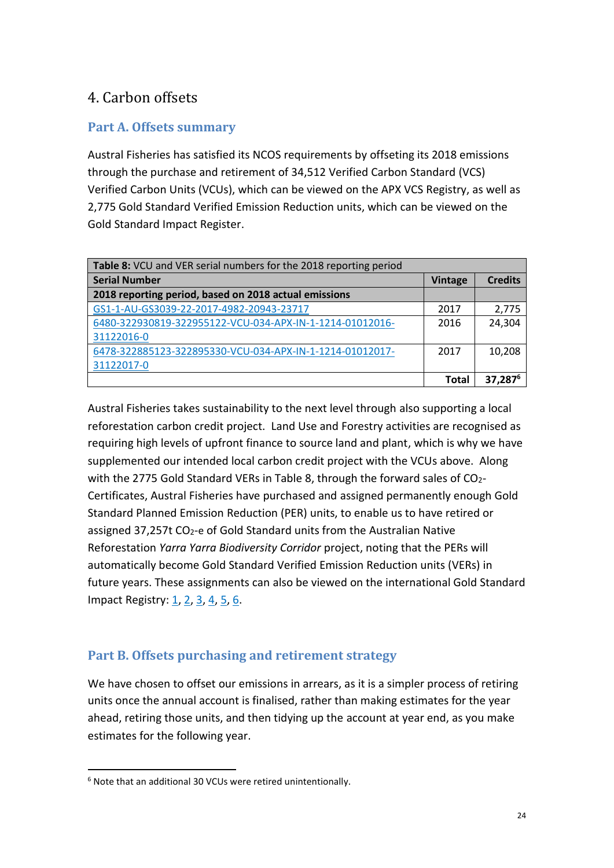# <span id="page-23-0"></span>4. Carbon offsets

#### <span id="page-23-1"></span>**Part A. Offsets summary**

Austral Fisheries has satisfied its NCOS requirements by offseting its 2018 emissions through the purchase and retirement of 34,512 Verified Carbon Standard (VCS) Verified Carbon Units (VCUs), which can be viewed on the APX VCS Registry, as well as 2,775 Gold Standard Verified Emission Reduction units, which can be viewed on the Gold Standard Impact Register.

| <b>Table 8:</b> VCU and VER serial numbers for the 2018 reporting period |                |                     |
|--------------------------------------------------------------------------|----------------|---------------------|
| <b>Serial Number</b>                                                     | <b>Vintage</b> | <b>Credits</b>      |
| 2018 reporting period, based on 2018 actual emissions                    |                |                     |
| GS1-1-AU-GS3039-22-2017-4982-20943-23717                                 | 2017           | 2,775               |
| 6480-322930819-322955122-VCU-034-APX-IN-1-1214-01012016-                 | 2016           | 24,304              |
| 31122016-0                                                               |                |                     |
| 6478-322885123-322895330-VCU-034-APX-IN-1-1214-01012017-                 | 2017           | 10,208              |
| 31122017-0                                                               |                |                     |
|                                                                          | Total          | 37,287 <sup>6</sup> |

Austral Fisheries takes sustainability to the next level through also supporting a local reforestation carbon credit project. Land Use and Forestry activities are recognised as requiring high levels of upfront finance to source land and plant, which is why we have supplemented our intended local carbon credit project with the VCUs above. Along with the 2775 Gold Standard VERs in Table 8, through the forward sales of  $CO<sub>2</sub>$ -Certificates, Austral Fisheries have purchased and assigned permanently enough Gold Standard Planned Emission Reduction (PER) units, to enable us to have retired or assigned 37,257t  $CO<sub>2</sub>$ -e of Gold Standard units from the Australian Native Reforestation *Yarra Yarra Biodiversity Corridor* project, noting that the PERs will automatically become Gold Standard Verified Emission Reduction units (VERs) in future years. These assignments can also be viewed on the international Gold Standard Impact Registry[: 1,](https://registry.goldstandard.org/credit-blocks/details/33788) [2,](https://registry.goldstandard.org/credit-blocks/details/33786) [3,](https://registry.goldstandard.org/credit-blocks/details/33787) [4,](https://registry.goldstandard.org/credit-blocks/details/33791) [5,](https://registry.goldstandard.org/credit-blocks/details/33785) [6.](https://registry.goldstandard.org/credit-blocks/details/33784)

#### <span id="page-23-2"></span>**Part B. Offsets purchasing and retirement strategy**

We have chosen to offset our emissions in arrears, as it is a simpler process of retiring units once the annual account is finalised, rather than making estimates for the year ahead, retiring those units, and then tidying up the account at year end, as you make estimates for the following year.

1

<sup>6</sup> Note that an additional 30 VCUs were retired unintentionally.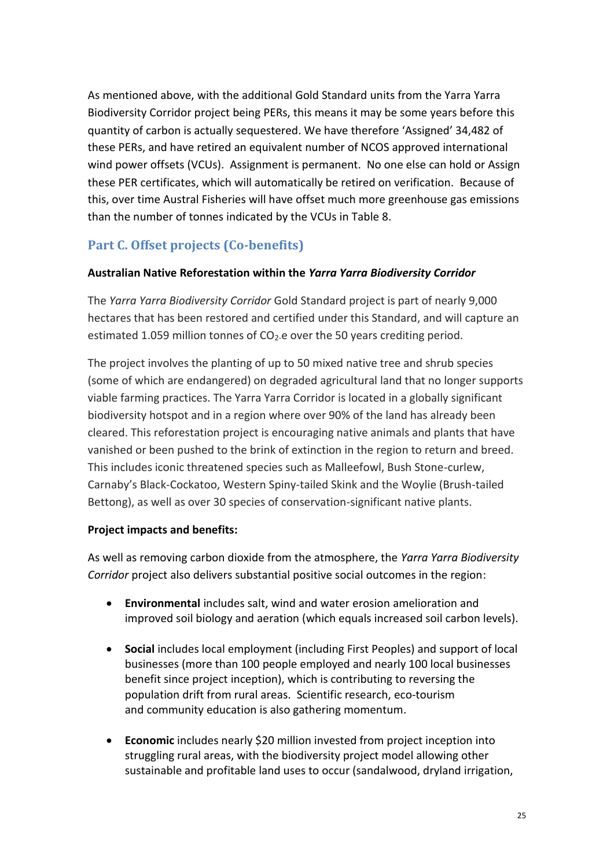As mentioned above, with the additional Gold Standard units from the Yarra Yarra Biodiversity Corridor project being PERs, this means it may be some years before this quantity of carbon is actually sequestered. We have therefore 'Assigned' 34,482 of these PERs, and have retired an equivalent number of NCOS approved international wind power offsets (VCUs). Assignment is permanent. No one else can hold or Assign these PER certificates, which will automatically be retired on verification. Because of this, over time Austral Fisheries will have offset much more greenhouse gas emissions than the number of tonnes indicated by the VCUs in Table 8.

### <span id="page-24-0"></span>**Part C. Offset projects (Co-benefits)**

#### **Australian Native Reforestation within the** *Yarra Yarra Biodiversity Corridor*

The *Yarra Yarra Biodiversity Corridor* Gold Standard project is part of nearly 9,000 hectares that has been restored and certified under this Standard, and will capture an estimated 1.059 million tonnes of  $CO<sub>2</sub>$ -e over the 50 years crediting period.

The project involves the planting of up to 50 mixed native tree and shrub species (some of which are endangered) on degraded agricultural land that no longer supports viable farming practices. The Yarra Yarra Corridor is located in a globally significant biodiversity hotspot and in a region where over 90% of the land has already been cleared. This reforestation project is encouraging native animals and plants that have vanished or been pushed to the brink of extinction in the region to return and breed. This includes iconic threatened species such as Malleefowl, Bush Stone-curlew, Carnaby's Black-Cockatoo, Western Spiny-tailed Skink and the Woylie (Brush-tailed Bettong), as well as over 30 species of conservation-significant native plants.

#### **Project impacts and benefits:**

As well as removing carbon dioxide from the atmosphere, the *Yarra Yarra Biodiversity Corridor* project also delivers substantial positive social outcomes in the region:

- **Environmental** includes salt, wind and water erosion amelioration and improved soil biology and aeration (which equals increased soil carbon levels).
- **Social** includes local employment (including First Peoples) and support of local businesses (more than 100 people employed and nearly 100 local businesses benefit since project inception), which is contributing to reversing the population drift from rural areas. Scientific research, eco-tourism and community education is also gathering momentum.
- **Economic** includes nearly \$20 million invested from project inception into struggling rural areas, with the biodiversity project model allowing other sustainable and profitable land uses to occur (sandalwood, dryland irrigation,